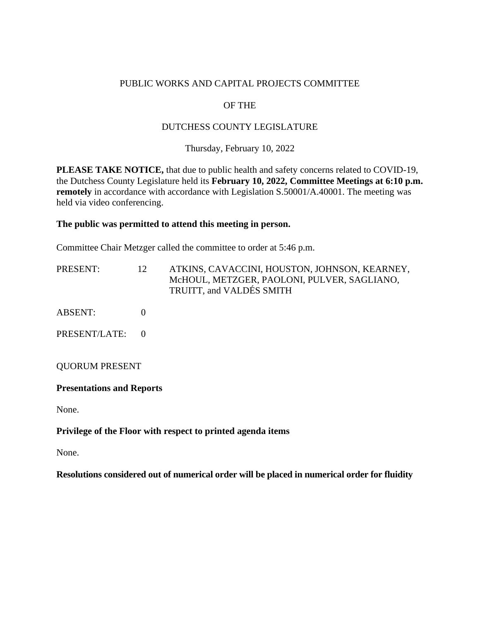### PUBLIC WORKS AND CAPITAL PROJECTS COMMITTEE

# OF THE

# DUTCHESS COUNTY LEGISLATURE

Thursday, February 10, 2022

**PLEASE TAKE NOTICE,** that due to public health and safety concerns related to COVID-19, the Dutchess County Legislature held its **February 10, 2022, Committee Meetings at 6:10 p.m. remotely** in accordance with accordance with Legislation S.50001/A.40001. The meeting was held via video conferencing.

#### **The public was permitted to attend this meeting in person.**

Committee Chair Metzger called the committee to order at 5:46 p.m.

| PRESENT:              | 12       | ATKINS, CAVACCINI, HOUSTON, JOHNSON, KEARNEY,<br>McHOUL, METZGER, PAOLONI, PULVER, SAGLIANO,<br>TRUITT, and VALDÉS SMITH |
|-----------------------|----------|--------------------------------------------------------------------------------------------------------------------------|
| <b>ABSENT:</b>        |          |                                                                                                                          |
| PRESENT/LATE:         | $\theta$ |                                                                                                                          |
| <b>QUORUM PRESENT</b> |          |                                                                                                                          |

# **Presentations and Reports**

None.

#### **Privilege of the Floor with respect to printed agenda items**

None.

**Resolutions considered out of numerical order will be placed in numerical order for fluidity**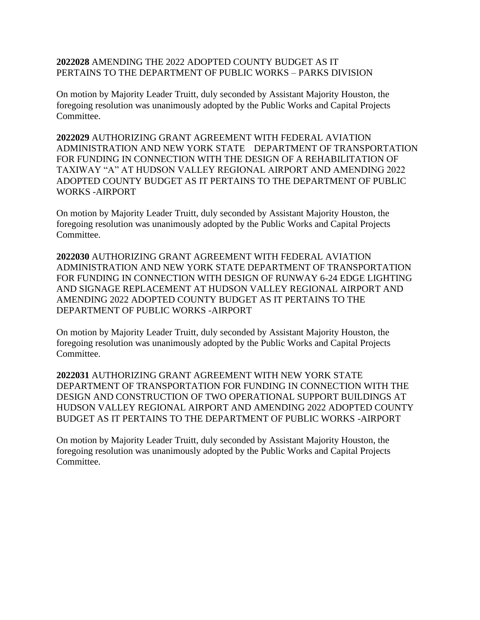### **2022028** AMENDING THE 2022 ADOPTED COUNTY BUDGET AS IT PERTAINS TO THE DEPARTMENT OF PUBLIC WORKS – PARKS DIVISION

On motion by Majority Leader Truitt, duly seconded by Assistant Majority Houston, the foregoing resolution was unanimously adopted by the Public Works and Capital Projects Committee.

**2022029** AUTHORIZING GRANT AGREEMENT WITH FEDERAL AVIATION ADMINISTRATION AND NEW YORK STATE DEPARTMENT OF TRANSPORTATION FOR FUNDING IN CONNECTION WITH THE DESIGN OF A REHABILITATION OF TAXIWAY "A" AT HUDSON VALLEY REGIONAL AIRPORT AND AMENDING 2022 ADOPTED COUNTY BUDGET AS IT PERTAINS TO THE DEPARTMENT OF PUBLIC WORKS -AIRPORT

On motion by Majority Leader Truitt, duly seconded by Assistant Majority Houston, the foregoing resolution was unanimously adopted by the Public Works and Capital Projects Committee.

**2022030** AUTHORIZING GRANT AGREEMENT WITH FEDERAL AVIATION ADMINISTRATION AND NEW YORK STATE DEPARTMENT OF TRANSPORTATION FOR FUNDING IN CONNECTION WITH DESIGN OF RUNWAY 6-24 EDGE LIGHTING AND SIGNAGE REPLACEMENT AT HUDSON VALLEY REGIONAL AIRPORT AND AMENDING 2022 ADOPTED COUNTY BUDGET AS IT PERTAINS TO THE DEPARTMENT OF PUBLIC WORKS -AIRPORT

On motion by Majority Leader Truitt, duly seconded by Assistant Majority Houston, the foregoing resolution was unanimously adopted by the Public Works and Capital Projects Committee.

**2022031** AUTHORIZING GRANT AGREEMENT WITH NEW YORK STATE DEPARTMENT OF TRANSPORTATION FOR FUNDING IN CONNECTION WITH THE DESIGN AND CONSTRUCTION OF TWO OPERATIONAL SUPPORT BUILDINGS AT HUDSON VALLEY REGIONAL AIRPORT AND AMENDING 2022 ADOPTED COUNTY BUDGET AS IT PERTAINS TO THE DEPARTMENT OF PUBLIC WORKS -AIRPORT

On motion by Majority Leader Truitt, duly seconded by Assistant Majority Houston, the foregoing resolution was unanimously adopted by the Public Works and Capital Projects Committee.